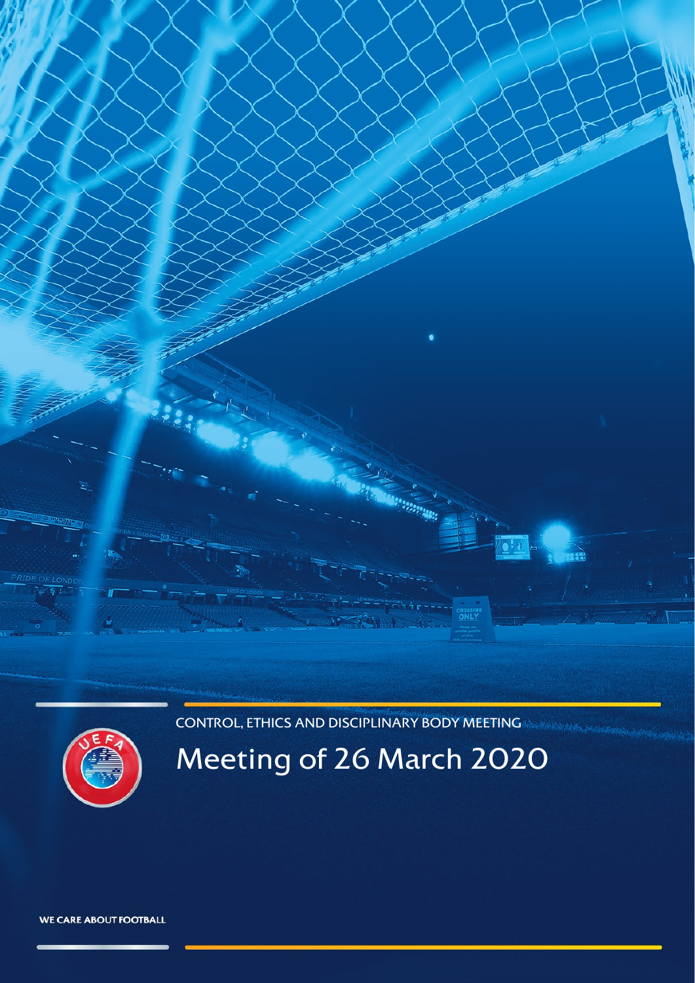CONTROL, ETHICS AND DISCIPLINARY BODY MEETING

<span id="page-0-0"></span>

# Meeting of 26 March 2020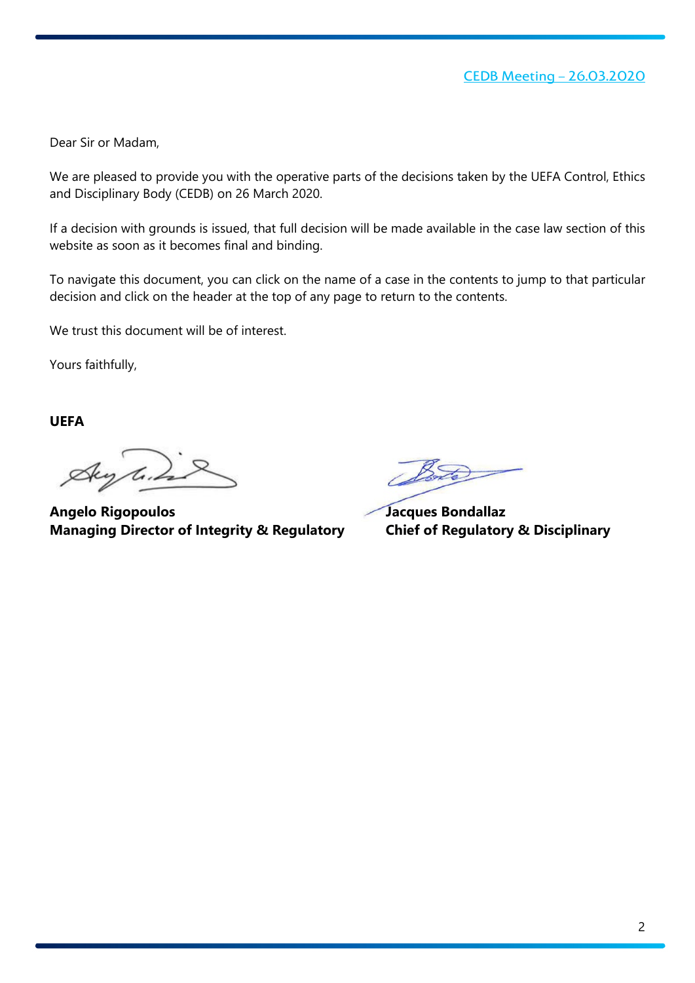Dear Sir or Madam,

We are pleased to provide you with the operative parts of the decisions taken by the UEFA Control, Ethics and Disciplinary Body (CEDB) on 26 March 2020.

If a decision with grounds is issued, that full decision will be made available in the case law section of this website as soon as it becomes final and binding.

To navigate this document, you can click on the name of a case in the contents to jump to that particular decision and click on the header at the top of any page to return to the contents.

We trust this document will be of interest.

Yours faithfully,

**UEFA**

Aug les

**Angelo Rigopoulos Jacques Bondallaz Managing Director of Integrity & Regulatory Chief of Regulatory & Disciplinary**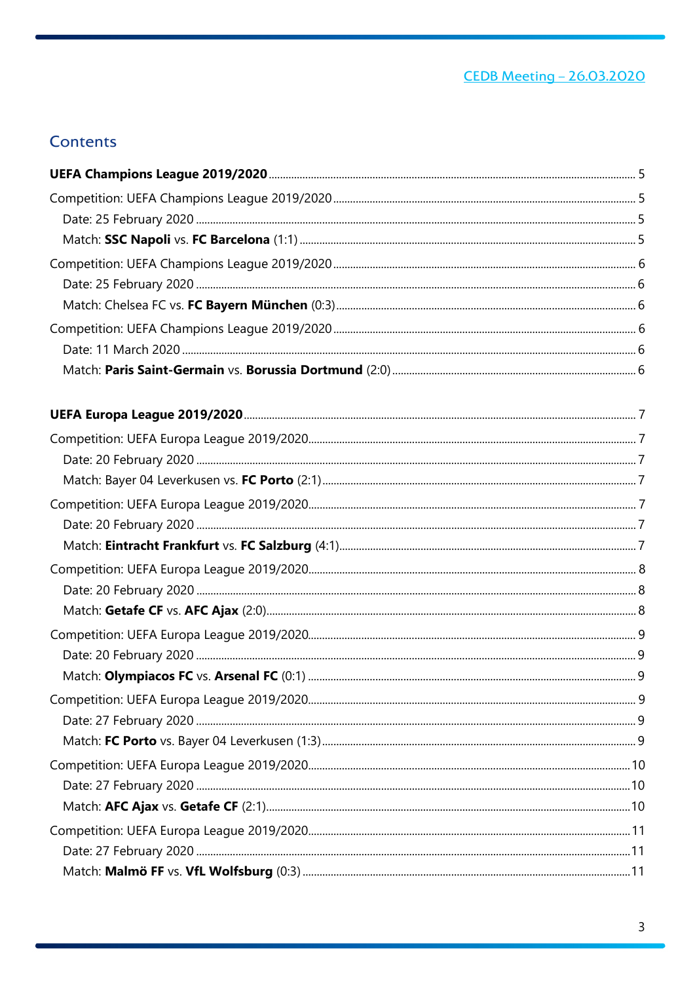# <u>CEDB Meeting - 26.03.2020</u>

## **Contents**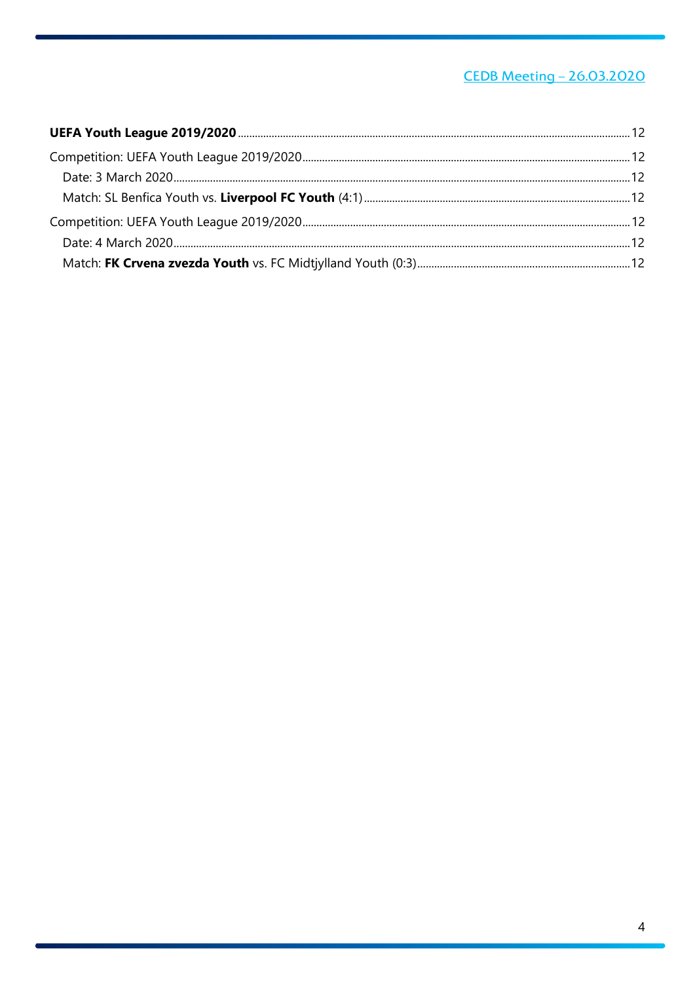# **CEDB Meeting - 26.03.2020**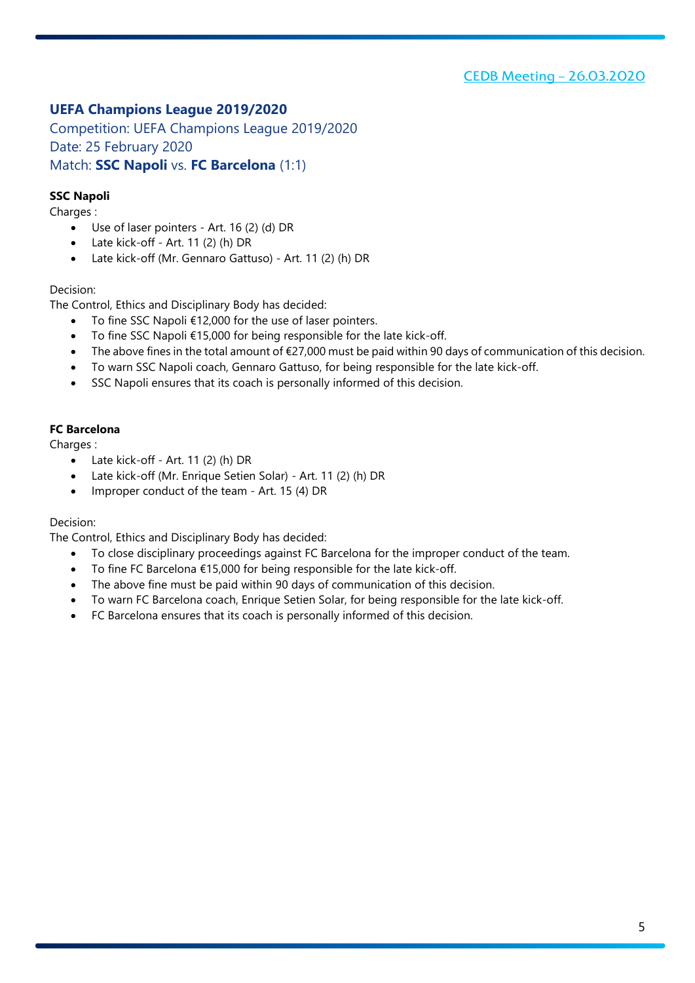### <span id="page-4-0"></span>**UEFA Champions League 2019/2020**

<span id="page-4-2"></span><span id="page-4-1"></span>Competition: UEFA Champions League 2019/2020 Date: 25 February 2020 Match: **SSC Napoli** vs. **FC Barcelona** (1:1)

### <span id="page-4-3"></span>**SSC Napoli**

Charges :

- Use of laser pointers Art. 16 (2) (d) DR
- Late kick-off Art. 11 (2) (h) DR
- Late kick-off (Mr. Gennaro Gattuso) Art. 11 (2) (h) DR

#### Decision:

The Control, Ethics and Disciplinary Body has decided:

- To fine SSC Napoli €12,000 for the use of laser pointers.
- To fine SSC Napoli €15,000 for being responsible for the late kick-off.
- The above fines in the total amount of €27,000 must be paid within 90 days of communication of this decision.
- To warn SSC Napoli coach, Gennaro Gattuso, for being responsible for the late kick-off.
- SSC Napoli ensures that its coach is personally informed of this decision.

### **FC Barcelona**

Charges :

- Late kick-off Art. 11 (2) (h) DR
- Late kick-off (Mr. Enrique Setien Solar) Art. 11 (2) (h) DR
- Improper conduct of the team Art. 15 (4) DR

#### Decision:

- To close disciplinary proceedings against FC Barcelona for the improper conduct of the team.
- To fine FC Barcelona  $£15,000$  for being responsible for the late kick-off.
- The above fine must be paid within 90 days of communication of this decision.
- To warn FC Barcelona coach, Enrique Setien Solar, for being responsible for the late kick-off.
- FC Barcelona ensures that its coach is personally informed of this decision.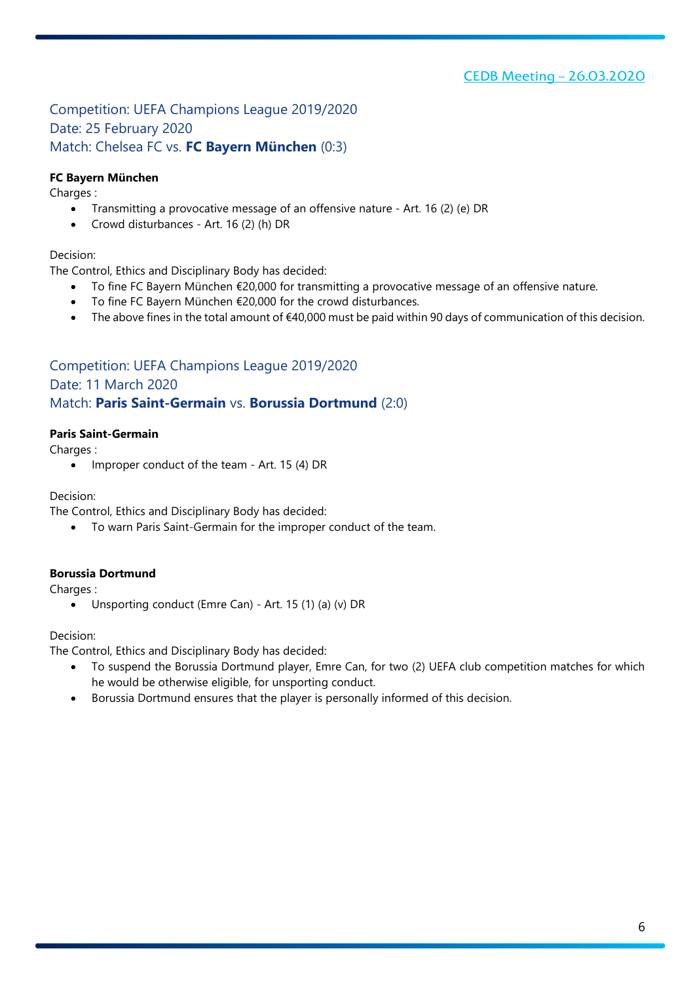### [CEDB Meeting –](#page-0-0) 26.03.2020

### <span id="page-5-2"></span><span id="page-5-1"></span><span id="page-5-0"></span>Competition: UEFA Champions League 2019/2020 Date: 25 February 2020 Match: Chelsea FC vs. **FC Bayern München** (0:3)

### **FC Bayern München**

Charges :

- Transmitting a provocative message of an offensive nature Art. 16 (2) (e) DR
- Crowd disturbances Art. 16 (2) (h) DR

### Decision:

The Control, Ethics and Disciplinary Body has decided:

- To fine FC Bayern München €20,000 for transmitting a provocative message of an offensive nature.
- To fine FC Bayern München €20,000 for the crowd disturbances.
- The above fines in the total amount of  $€40,000$  must be paid within 90 days of communication of this decision.

### <span id="page-5-3"></span>Competition: UEFA Champions League 2019/2020

### <span id="page-5-4"></span>Date: 11 March 2020

### <span id="page-5-5"></span>Match: **Paris Saint-Germain** vs. **Borussia Dortmund** (2:0)

### **Paris Saint-Germain**

Charges :

• Improper conduct of the team - Art. 15 (4) DR

#### Decision:

The Control, Ethics and Disciplinary Body has decided:

• To warn Paris Saint-Germain for the improper conduct of the team.

#### **Borussia Dortmund**

Charges :

• Unsporting conduct (Emre Can) - Art. 15 (1) (a) (v) DR

#### Decision:

- To suspend the Borussia Dortmund player, Emre Can, for two (2) UEFA club competition matches for which he would be otherwise eligible, for unsporting conduct.
- Borussia Dortmund ensures that the player is personally informed of this decision.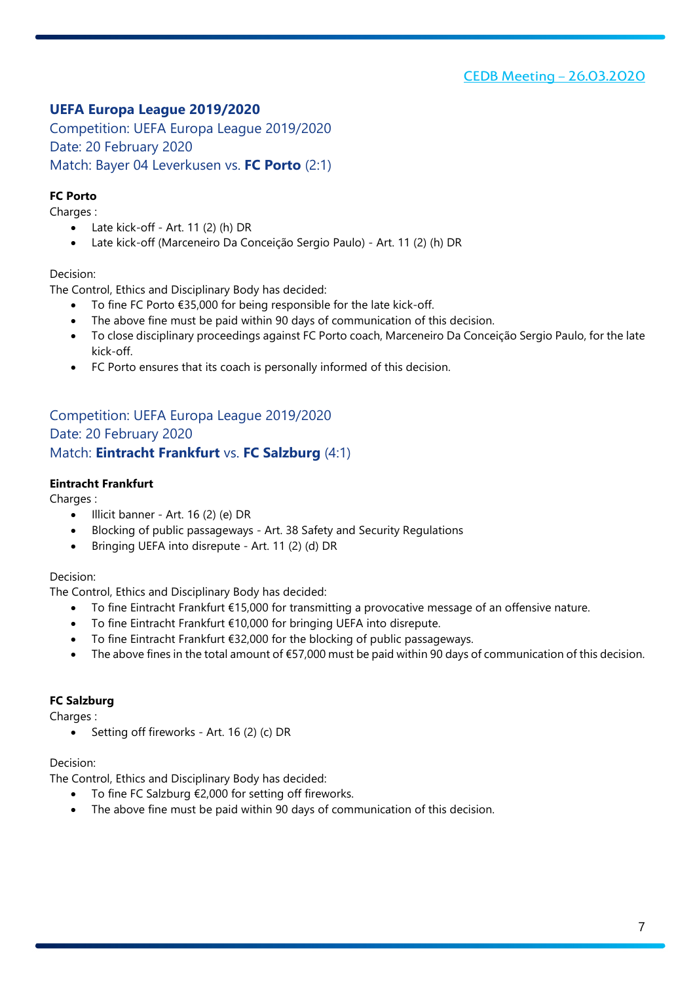### <span id="page-6-0"></span>**UEFA Europa League 2019/2020**

<span id="page-6-2"></span><span id="page-6-1"></span>Competition: UEFA Europa League 2019/2020 Date: 20 February 2020 Match: Bayer 04 Leverkusen vs. **FC Porto** (2:1)

### <span id="page-6-3"></span>**FC Porto**

Charges :

- Late kick-off Art. 11 (2) (h) DR
- Late kick-off (Marceneiro Da Conceição Sergio Paulo) Art. 11 (2) (h) DR

### Decision:

The Control, Ethics and Disciplinary Body has decided:

- To fine FC Porto €35,000 for being responsible for the late kick-off.
- The above fine must be paid within 90 days of communication of this decision.
- To close disciplinary proceedings against FC Porto coach, Marceneiro Da Conceição Sergio Paulo, for the late kick-off.
- FC Porto ensures that its coach is personally informed of this decision.

### <span id="page-6-5"></span><span id="page-6-4"></span>Competition: UEFA Europa League 2019/2020 Date: 20 February 2020 Match: **Eintracht Frankfurt** vs. **FC Salzburg** (4:1)

### <span id="page-6-6"></span>**Eintracht Frankfurt**

Charges :

- Illicit banner Art. 16 (2) (e) DR
- Blocking of public passageways Art. 38 Safety and Security Regulations
- Bringing UEFA into disrepute Art. 11 (2) (d) DR

#### Decision:

The Control, Ethics and Disciplinary Body has decided:

- To fine Eintracht Frankfurt €15,000 for transmitting a provocative message of an offensive nature.
- To fine Eintracht Frankfurt €10,000 for bringing UEFA into disrepute.
- To fine Eintracht Frankfurt €32,000 for the blocking of public passageways.
- The above fines in the total amount of €57,000 must be paid within 90 days of communication of this decision.

### **FC Salzburg**

Charges :

• Setting off fireworks - Art. 16 (2) (c) DR

#### Decision:

- To fine FC Salzburg  $£2,000$  for setting off fireworks.
- The above fine must be paid within 90 days of communication of this decision.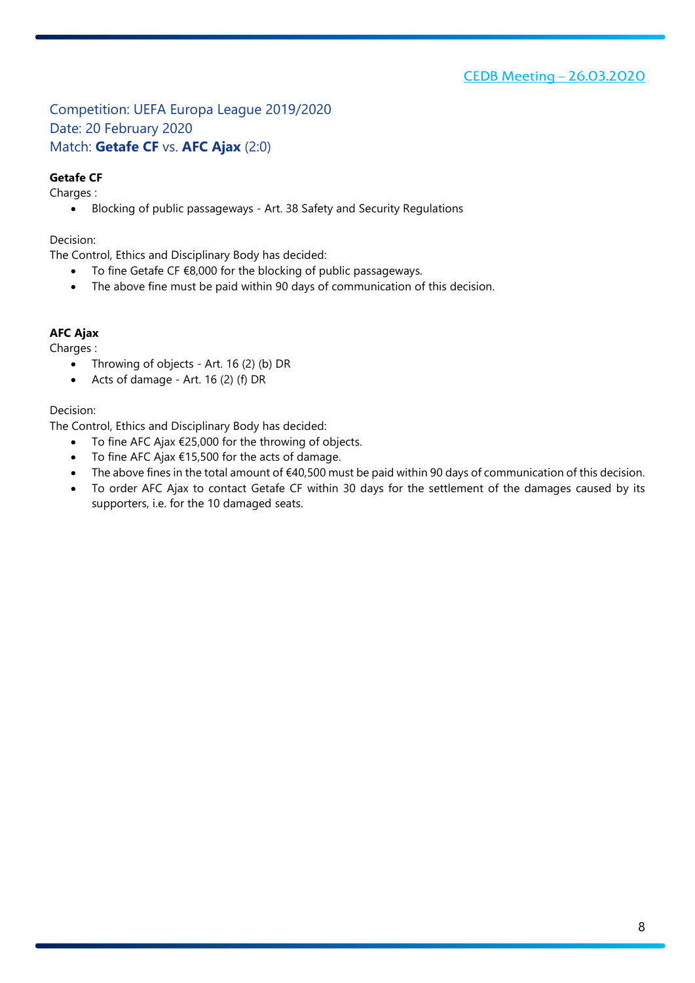<span id="page-7-1"></span><span id="page-7-0"></span>Competition: UEFA Europa League 2019/2020 Date: 20 February 2020 Match: **Getafe CF** vs. **AFC Ajax** (2:0)

### <span id="page-7-2"></span>**Getafe CF**

Charges :

• Blocking of public passageways - Art. 38 Safety and Security Regulations

Decision:

The Control, Ethics and Disciplinary Body has decided:

- To fine Getafe CF €8,000 for the blocking of public passageways.
- The above fine must be paid within 90 days of communication of this decision.

### **AFC Ajax**

Charges :

- Throwing of objects Art. 16 (2) (b) DR
- Acts of damage Art. 16 (2) (f) DR

### Decision:

- To fine AFC Ajax €25,000 for the throwing of objects.
- To fine AFC Ajax €15,500 for the acts of damage.
- The above fines in the total amount of €40,500 must be paid within 90 days of communication of this decision.
- To order AFC Ajax to contact Getafe CF within 30 days for the settlement of the damages caused by its supporters, i.e. for the 10 damaged seats.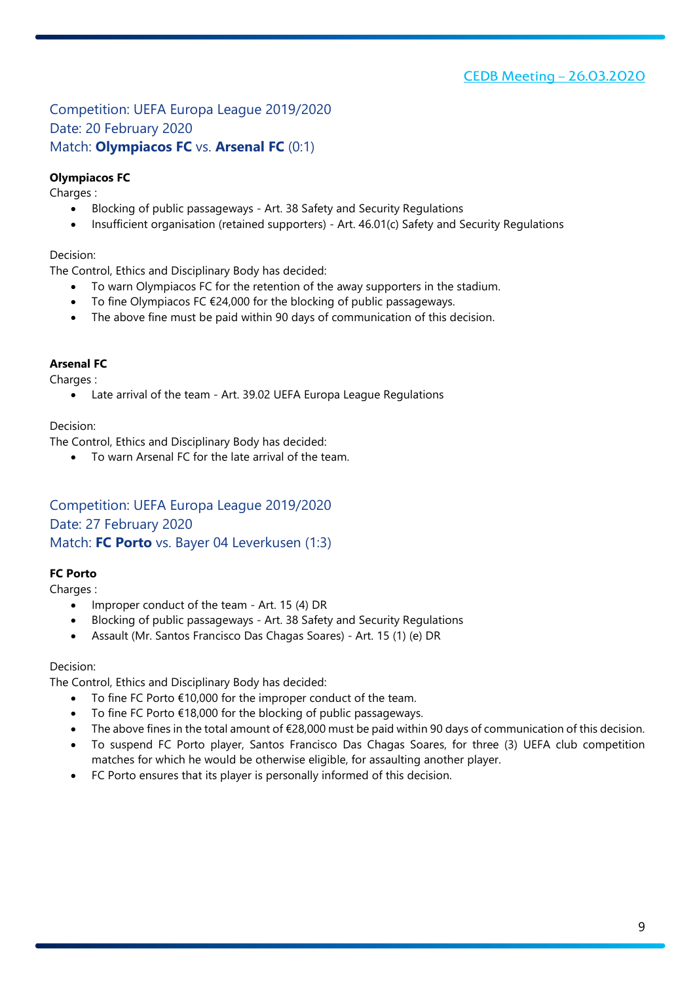### <span id="page-8-1"></span><span id="page-8-0"></span>Competition: UEFA Europa League 2019/2020 Date: 20 February 2020 Match: **Olympiacos FC** vs. **Arsenal FC** (0:1)

### <span id="page-8-2"></span>**Olympiacos FC**

Charges :

- Blocking of public passageways Art. 38 Safety and Security Regulations
- Insufficient organisation (retained supporters) Art. 46.01(c) Safety and Security Regulations

### Decision:

The Control, Ethics and Disciplinary Body has decided:

- To warn Olympiacos FC for the retention of the away supporters in the stadium.
- To fine Olympiacos FC  $E$ 24,000 for the blocking of public passageways.
- The above fine must be paid within 90 days of communication of this decision.

### **Arsenal FC**

Charges :

• Late arrival of the team - Art. 39.02 UEFA Europa League Regulations

Decision:

The Control, Ethics and Disciplinary Body has decided:

• To warn Arsenal FC for the late arrival of the team.

### <span id="page-8-4"></span><span id="page-8-3"></span>Competition: UEFA Europa League 2019/2020 Date: 27 February 2020 Match: **FC Porto** vs. Bayer 04 Leverkusen (1:3)

### <span id="page-8-5"></span>**FC Porto**

Charges :

- Improper conduct of the team Art. 15 (4) DR
- Blocking of public passageways Art. 38 Safety and Security Regulations
- Assault (Mr. Santos Francisco Das Chagas Soares) Art. 15 (1) (e) DR

#### Decision:

- To fine FC Porto €10,000 for the improper conduct of the team.
- To fine FC Porto €18,000 for the blocking of public passageways.
- The above fines in the total amount of €28,000 must be paid within 90 days of communication of this decision.
- To suspend FC Porto player, Santos Francisco Das Chagas Soares, for three (3) UEFA club competition matches for which he would be otherwise eligible, for assaulting another player.
- FC Porto ensures that its player is personally informed of this decision.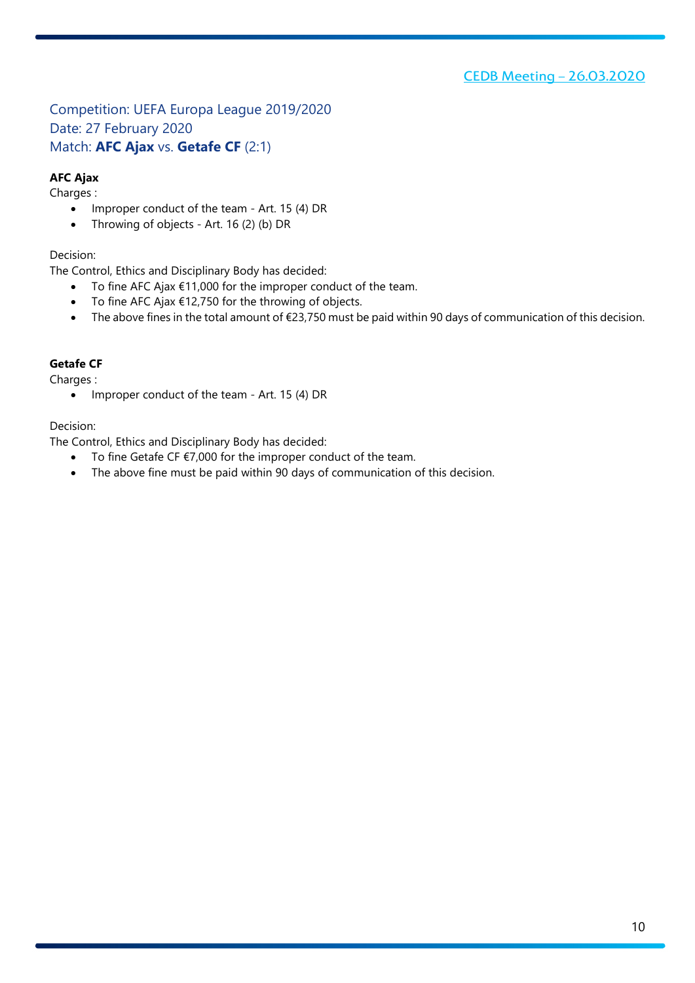<span id="page-9-1"></span><span id="page-9-0"></span>Competition: UEFA Europa League 2019/2020 Date: 27 February 2020 Match: **AFC Ajax** vs. **Getafe CF** (2:1)

### <span id="page-9-2"></span>**AFC Ajax**

Charges :

- Improper conduct of the team Art. 15 (4) DR
- Throwing of objects Art. 16 (2) (b) DR

### Decision:

The Control, Ethics and Disciplinary Body has decided:

- To fine AFC Ajax €11,000 for the improper conduct of the team.
- To fine AFC Ajax €12,750 for the throwing of objects.
- The above fines in the total amount of €23,750 must be paid within 90 days of communication of this decision.

### **Getafe CF**

Charges :

• Improper conduct of the team - Art. 15 (4) DR

### Decision:

- To fine Getafe CF €7,000 for the improper conduct of the team.
- The above fine must be paid within 90 days of communication of this decision.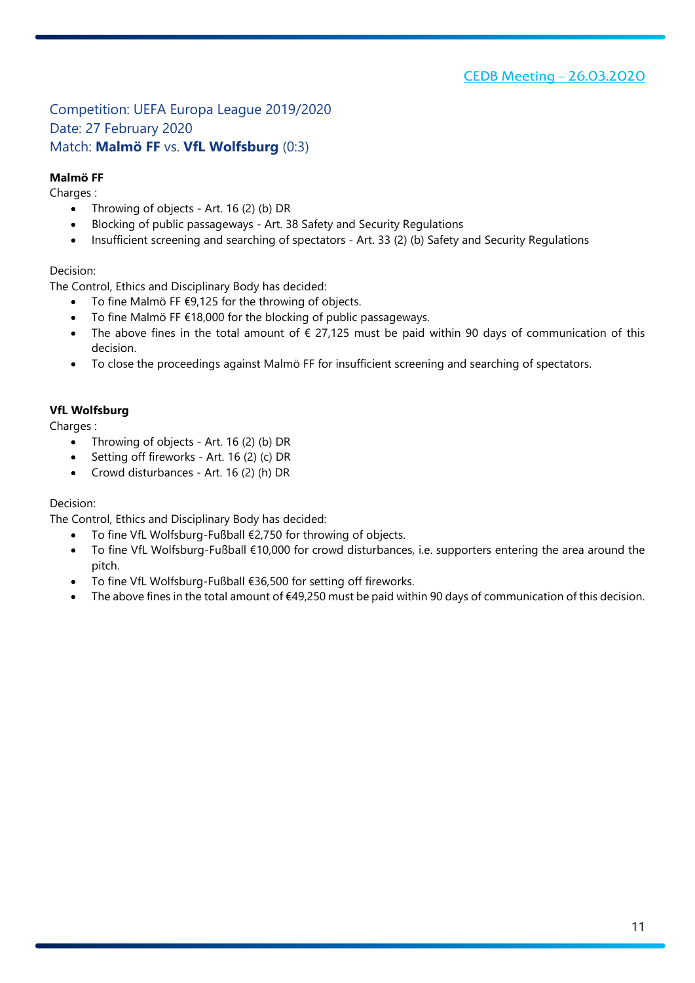### <span id="page-10-1"></span><span id="page-10-0"></span>Competition: UEFA Europa League 2019/2020 Date: 27 February 2020 Match: **Malmö FF** vs. **VfL Wolfsburg** (0:3)

### <span id="page-10-2"></span>**Malmö FF**

Charges :

- Throwing of objects Art. 16 (2) (b) DR
- Blocking of public passageways Art. 38 Safety and Security Regulations
- Insufficient screening and searching of spectators Art. 33 (2) (b) Safety and Security Regulations

### Decision:

The Control, Ethics and Disciplinary Body has decided:

- To fine Malmö FF  $E$ 9,125 for the throwing of objects.
- To fine Malmö FF €18,000 for the blocking of public passageways.
- The above fines in the total amount of  $\epsilon$  27,125 must be paid within 90 days of communication of this decision.
- To close the proceedings against Malmö FF for insufficient screening and searching of spectators.

### **VfL Wolfsburg**

Charges :

- Throwing of objects Art. 16 (2) (b) DR
- Setting off fireworks Art. 16 (2) (c) DR
- Crowd disturbances Art. 16 (2) (h) DR

### Decision:

- To fine VfL Wolfsburg-Fußball €2,750 for throwing of objects.
- To fine VfL Wolfsburg-Fußball €10,000 for crowd disturbances, i.e. supporters entering the area around the pitch.
- To fine VfL Wolfsburg-Fußball €36,500 for setting off fireworks.
- The above fines in the total amount of  $€49,250$  must be paid within 90 days of communication of this decision.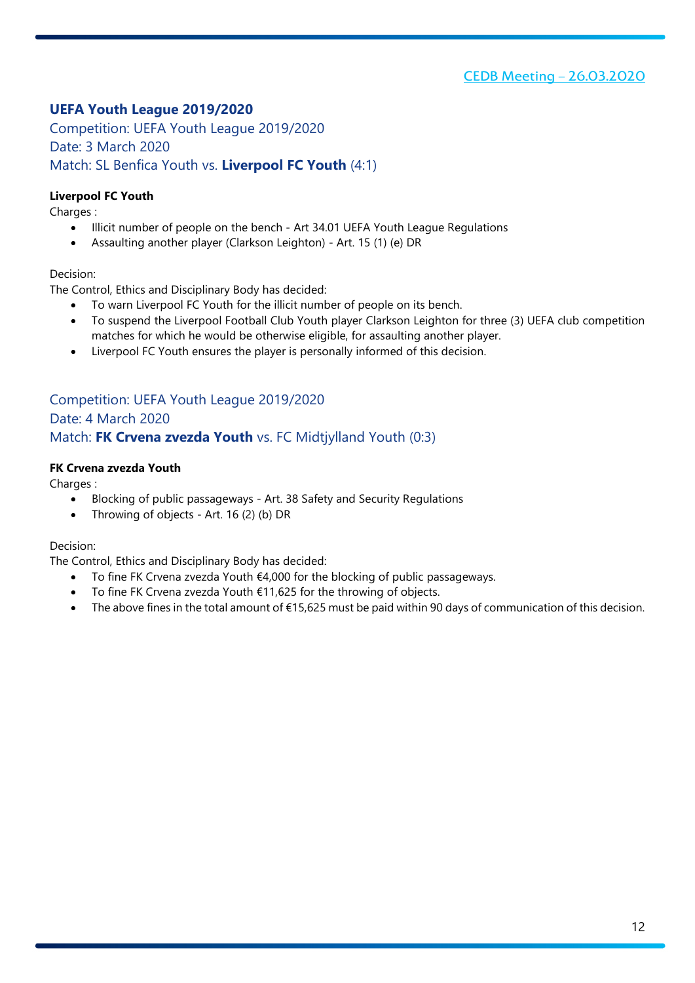### <span id="page-11-0"></span>**UEFA Youth League 2019/2020**

<span id="page-11-2"></span><span id="page-11-1"></span>Competition: UEFA Youth League 2019/2020 Date: 3 March 2020 Match: SL Benfica Youth vs. **Liverpool FC Youth** (4:1)

### <span id="page-11-3"></span>**Liverpool FC Youth**

Charges :

- Illicit number of people on the bench Art 34.01 UEFA Youth League Regulations
- Assaulting another player (Clarkson Leighton) Art. 15 (1) (e) DR

### Decision:

The Control, Ethics and Disciplinary Body has decided:

- To warn Liverpool FC Youth for the illicit number of people on its bench.
- To suspend the Liverpool Football Club Youth player Clarkson Leighton for three (3) UEFA club competition matches for which he would be otherwise eligible, for assaulting another player.
- Liverpool FC Youth ensures the player is personally informed of this decision.

### <span id="page-11-5"></span><span id="page-11-4"></span>Competition: UEFA Youth League 2019/2020 Date: 4 March 2020 Match: **FK Crvena zvezda Youth** vs. FC Midtjylland Youth (0:3)

### <span id="page-11-6"></span>**FK Crvena zvezda Youth**

Charges :

- Blocking of public passageways Art. 38 Safety and Security Regulations
- Throwing of objects Art. 16 (2) (b) DR

#### Decision:

- To fine FK Crvena zvezda Youth €4,000 for the blocking of public passageways.
- To fine FK Crvena zvezda Youth €11,625 for the throwing of objects.
- The above fines in the total amount of €15,625 must be paid within 90 days of communication of this decision.